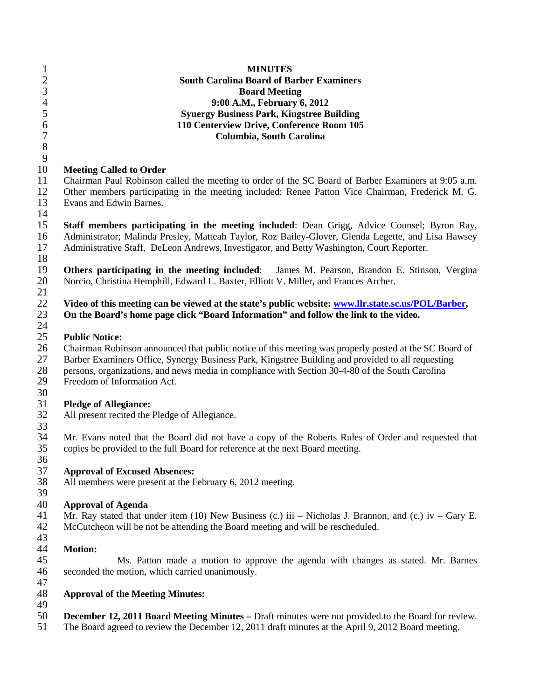| 5<br><b>Synergy Business Park, Kingstree Building</b><br>$\boldsymbol{6}$<br>110 Centerview Drive, Conference Room 105<br>$\overline{7}$<br>Columbia, South Carolina<br>$\,8\,$<br>9<br>10<br><b>Meeting Called to Order</b><br>11<br>Chairman Paul Robinson called the meeting to order of the SC Board of Barber Examiners at 9:05 a.m.<br>12<br>Other members participating in the meeting included: Renee Patton Vice Chairman, Frederick M. G.<br>13<br>Evans and Edwin Barnes.<br>14<br>15<br>Staff members participating in the meeting included: Dean Grigg, Advice Counsel; Byron Ray,<br>16<br>Administrator; Malinda Presley, Matteah Taylor, Roz Bailey-Glover, Glenda Legette, and Lisa Hawsey<br>17<br>Administrative Staff, DeLeon Andrews, Investigator, and Betty Washington, Court Reporter.<br>18<br>Others participating in the meeting included: James M. Pearson, Brandon E. Stinson, Vergina<br>20<br>Norcio, Christina Hemphill, Edward L. Baxter, Elliott V. Miller, and Frances Archer.<br>Video of this meeting can be viewed at the state's public website: www.llr.state.sc.us/POL/Barber,<br>On the Board's home page click "Board Information" and follow the link to the video.<br>24<br>25<br><b>Public Notice:</b><br>26<br>Chairman Robinson announced that public notice of this meeting was properly posted at the SC Board of<br>27<br>Barber Examiners Office, Synergy Business Park, Kingstree Building and provided to all requesting<br>28<br>persons, organizations, and news media in compliance with Section 30-4-80 of the South Carolina<br>29<br>Freedom of Information Act.<br>30<br>31<br><b>Pledge of Allegiance:</b><br>32<br>All present recited the Pledge of Allegiance.<br>33<br>34<br>Mr. Evans noted that the Board did not have a copy of the Roberts Rules of Order and requested that<br>35<br>copies be provided to the full Board for reference at the next Board meeting.<br>36<br>37<br><b>Approval of Excused Absences:</b><br>All members were present at the February 6, 2012 meeting.<br>39<br><b>Approval of Agenda</b><br>Mr. Ray stated that under item (10) New Business (c.) iii – Nicholas J. Brannon, and (c.) iv – Gary E.<br>McCutcheon will be not be attending the Board meeting and will be rescheduled.<br><b>Motion:</b><br>Ms. Patton made a motion to approve the agenda with changes as stated. Mr. Barnes<br>seconded the motion, which carried unanimously.<br>47<br><b>Approval of the Meeting Minutes:</b><br>49<br><b>December 12, 2011 Board Meeting Minutes – Draft minutes were not provided to the Board for review.</b><br>The Board agreed to review the December 12, 2011 draft minutes at the April 9, 2012 Board meeting. | $\mathbf{1}$<br>$\overline{c}$<br>3 | <b>MINUTES</b><br><b>South Carolina Board of Barber Examiners</b><br><b>Board Meeting</b> |
|-------------------------------------------------------------------------------------------------------------------------------------------------------------------------------------------------------------------------------------------------------------------------------------------------------------------------------------------------------------------------------------------------------------------------------------------------------------------------------------------------------------------------------------------------------------------------------------------------------------------------------------------------------------------------------------------------------------------------------------------------------------------------------------------------------------------------------------------------------------------------------------------------------------------------------------------------------------------------------------------------------------------------------------------------------------------------------------------------------------------------------------------------------------------------------------------------------------------------------------------------------------------------------------------------------------------------------------------------------------------------------------------------------------------------------------------------------------------------------------------------------------------------------------------------------------------------------------------------------------------------------------------------------------------------------------------------------------------------------------------------------------------------------------------------------------------------------------------------------------------------------------------------------------------------------------------------------------------------------------------------------------------------------------------------------------------------------------------------------------------------------------------------------------------------------------------------------------------------------------------------------------------------------------------------------------------------------------------------------------------------------------------------------------------------------------------------------------------------------------------------------------------------------------------------------------------------------------------------------------------------------------------------------------------------------------------------------------------------------|-------------------------------------|-------------------------------------------------------------------------------------------|
|                                                                                                                                                                                                                                                                                                                                                                                                                                                                                                                                                                                                                                                                                                                                                                                                                                                                                                                                                                                                                                                                                                                                                                                                                                                                                                                                                                                                                                                                                                                                                                                                                                                                                                                                                                                                                                                                                                                                                                                                                                                                                                                                                                                                                                                                                                                                                                                                                                                                                                                                                                                                                                                                                                                               | $\overline{4}$                      | 9:00 A.M., February 6, 2012                                                               |
|                                                                                                                                                                                                                                                                                                                                                                                                                                                                                                                                                                                                                                                                                                                                                                                                                                                                                                                                                                                                                                                                                                                                                                                                                                                                                                                                                                                                                                                                                                                                                                                                                                                                                                                                                                                                                                                                                                                                                                                                                                                                                                                                                                                                                                                                                                                                                                                                                                                                                                                                                                                                                                                                                                                               |                                     |                                                                                           |
|                                                                                                                                                                                                                                                                                                                                                                                                                                                                                                                                                                                                                                                                                                                                                                                                                                                                                                                                                                                                                                                                                                                                                                                                                                                                                                                                                                                                                                                                                                                                                                                                                                                                                                                                                                                                                                                                                                                                                                                                                                                                                                                                                                                                                                                                                                                                                                                                                                                                                                                                                                                                                                                                                                                               |                                     |                                                                                           |
|                                                                                                                                                                                                                                                                                                                                                                                                                                                                                                                                                                                                                                                                                                                                                                                                                                                                                                                                                                                                                                                                                                                                                                                                                                                                                                                                                                                                                                                                                                                                                                                                                                                                                                                                                                                                                                                                                                                                                                                                                                                                                                                                                                                                                                                                                                                                                                                                                                                                                                                                                                                                                                                                                                                               |                                     |                                                                                           |
|                                                                                                                                                                                                                                                                                                                                                                                                                                                                                                                                                                                                                                                                                                                                                                                                                                                                                                                                                                                                                                                                                                                                                                                                                                                                                                                                                                                                                                                                                                                                                                                                                                                                                                                                                                                                                                                                                                                                                                                                                                                                                                                                                                                                                                                                                                                                                                                                                                                                                                                                                                                                                                                                                                                               | 19<br>21                            |                                                                                           |
|                                                                                                                                                                                                                                                                                                                                                                                                                                                                                                                                                                                                                                                                                                                                                                                                                                                                                                                                                                                                                                                                                                                                                                                                                                                                                                                                                                                                                                                                                                                                                                                                                                                                                                                                                                                                                                                                                                                                                                                                                                                                                                                                                                                                                                                                                                                                                                                                                                                                                                                                                                                                                                                                                                                               | 22<br>23                            |                                                                                           |
|                                                                                                                                                                                                                                                                                                                                                                                                                                                                                                                                                                                                                                                                                                                                                                                                                                                                                                                                                                                                                                                                                                                                                                                                                                                                                                                                                                                                                                                                                                                                                                                                                                                                                                                                                                                                                                                                                                                                                                                                                                                                                                                                                                                                                                                                                                                                                                                                                                                                                                                                                                                                                                                                                                                               |                                     |                                                                                           |
|                                                                                                                                                                                                                                                                                                                                                                                                                                                                                                                                                                                                                                                                                                                                                                                                                                                                                                                                                                                                                                                                                                                                                                                                                                                                                                                                                                                                                                                                                                                                                                                                                                                                                                                                                                                                                                                                                                                                                                                                                                                                                                                                                                                                                                                                                                                                                                                                                                                                                                                                                                                                                                                                                                                               |                                     |                                                                                           |
|                                                                                                                                                                                                                                                                                                                                                                                                                                                                                                                                                                                                                                                                                                                                                                                                                                                                                                                                                                                                                                                                                                                                                                                                                                                                                                                                                                                                                                                                                                                                                                                                                                                                                                                                                                                                                                                                                                                                                                                                                                                                                                                                                                                                                                                                                                                                                                                                                                                                                                                                                                                                                                                                                                                               |                                     |                                                                                           |
|                                                                                                                                                                                                                                                                                                                                                                                                                                                                                                                                                                                                                                                                                                                                                                                                                                                                                                                                                                                                                                                                                                                                                                                                                                                                                                                                                                                                                                                                                                                                                                                                                                                                                                                                                                                                                                                                                                                                                                                                                                                                                                                                                                                                                                                                                                                                                                                                                                                                                                                                                                                                                                                                                                                               | 38                                  |                                                                                           |
|                                                                                                                                                                                                                                                                                                                                                                                                                                                                                                                                                                                                                                                                                                                                                                                                                                                                                                                                                                                                                                                                                                                                                                                                                                                                                                                                                                                                                                                                                                                                                                                                                                                                                                                                                                                                                                                                                                                                                                                                                                                                                                                                                                                                                                                                                                                                                                                                                                                                                                                                                                                                                                                                                                                               | 40<br>41<br>42<br>43                |                                                                                           |
|                                                                                                                                                                                                                                                                                                                                                                                                                                                                                                                                                                                                                                                                                                                                                                                                                                                                                                                                                                                                                                                                                                                                                                                                                                                                                                                                                                                                                                                                                                                                                                                                                                                                                                                                                                                                                                                                                                                                                                                                                                                                                                                                                                                                                                                                                                                                                                                                                                                                                                                                                                                                                                                                                                                               | 44<br>45<br>46                      |                                                                                           |
|                                                                                                                                                                                                                                                                                                                                                                                                                                                                                                                                                                                                                                                                                                                                                                                                                                                                                                                                                                                                                                                                                                                                                                                                                                                                                                                                                                                                                                                                                                                                                                                                                                                                                                                                                                                                                                                                                                                                                                                                                                                                                                                                                                                                                                                                                                                                                                                                                                                                                                                                                                                                                                                                                                                               | 48                                  |                                                                                           |
|                                                                                                                                                                                                                                                                                                                                                                                                                                                                                                                                                                                                                                                                                                                                                                                                                                                                                                                                                                                                                                                                                                                                                                                                                                                                                                                                                                                                                                                                                                                                                                                                                                                                                                                                                                                                                                                                                                                                                                                                                                                                                                                                                                                                                                                                                                                                                                                                                                                                                                                                                                                                                                                                                                                               | 50<br>51                            |                                                                                           |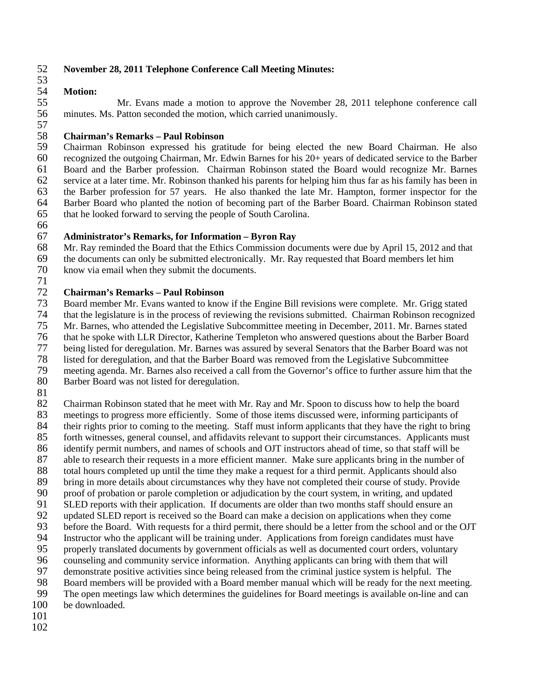### 52 **November 28, 2011 Telephone Conference Call Meeting Minutes:**

## 53<br>54

## 54 **Motion:**

55 Mr. Evans made a motion to approve the November 28, 2011 telephone conference call 56 minutes. Ms. Patton seconded the motion, which carried unanimously. 57

 **Chairman's Remarks – Paul Robinson** Chairman Robinson expressed his gratitude for being elected the new Board Chairman. He also recognized the outgoing Chairman, Mr. Edwin Barnes for his 20+ years of dedicated service to the Barber Board and the Barber profession. Chairman Robinson stated the Board would recognize Mr. Barnes service at a later time. Mr. Robinson thanked his parents for helping him thus far as his family has been in the Barber profession for 57 years. He also thanked the late Mr. Hampton, former inspector for the 64 Barber Board who planted the notion of becoming part of the Barber Board. Chairman Robinson stated that he looked forward to serving the people of South Carolina. that he looked forward to serving the people of South Carolina.

66

### 67 **Administrator's Remarks, for Information – Byron Ray**

Mr. Ray reminded the Board that the Ethics Commission documents were due by April 15, 2012 and that

- 69 the documents can only be submitted electronically. Mr. Ray requested that Board members let him
- 70 know via email when they submit the documents.

### $\frac{71}{72}$ 72 **Chairman's Remarks – Paul Robinson**

73 Board member Mr. Evans wanted to know if the Engine Bill revisions were complete. Mr. Grigg stated

74 that the legislature is in the process of reviewing the revisions submitted. Chairman Robinson recognized<br>75 Mr. Barnes, who attended the Legislative Subcommittee meeting in December, 2011. Mr. Barnes stated 75 Mr. Barnes, who attended the Legislative Subcommittee meeting in December, 2011. Mr. Barnes stated

76 that he spoke with LLR Director, Katherine Templeton who answered questions about the Barber Board

77 being listed for deregulation. Mr. Barnes was assured by several Senators that the Barber Board was not

78 listed for deregulation, and that the Barber Board was removed from the Legislative Subcommittee

79 meeting agenda. Mr. Barnes also received a call from the Governor's office to further assure him that the 80 Barber Board was not listed for deregulation.

Barber Board was not listed for deregulation.

 $\begin{array}{c} 81 \\ 82 \end{array}$ 82 Chairman Robinson stated that he meet with Mr. Ray and Mr. Spoon to discuss how to help the board 83 meetings to progress more efficiently. Some of those items discussed were, informing participants of 84 their rights prior to coming to the meeting. Staff must inform applicants that they have the right to bring<br>85 forth witnesses, general counsel, and affidavits relevant to support their circumstances. Applicants must forth witnesses, general counsel, and affidavits relevant to support their circumstances. Applicants must 86 identify permit numbers, and names of schools and OJT instructors ahead of time, so that staff will be 87 able to research their requests in a more efficient manner. Make sure applicants bring in the number of total hours completed up until the time they make a request for a third permit. Applicants should also 88 total hours completed up until the time they make a request for a third permit. Applicants should also<br>89 bring in more details about circumstances why they have not completed their course of study. Provide 89 bring in more details about circumstances why they have not completed their course of study. Provide<br>90 proof of probation or parole completion or adiudication by the court system, in writing, and updated 90 proof of probation or parole completion or adjudication by the court system, in writing, and updated 91 SLED reports with their application. If documents are older than two months staff should ensure an 92 updated SLED report is received so the Board can make a decision on applications when they come 93 before the Board. With requests for a third permit, there should be a letter from the school and or the OJT 94 Instructor who the applicant will be training under. Applications from foreign candidates must have<br>95 properly translated documents by government officials as well as documented court orders, voluntary 95 properly translated documents by government officials as well as documented court orders, voluntary<br>96 counseling and community service information. Anything applicants can bring with them that will 96 counseling and community service information. Anything applicants can bring with them that will<br>97 demonstrate positive activities since being released from the criminal iustice system is helpful. The 97 demonstrate positive activities since being released from the criminal justice system is helpful. The 98 Board members will be provided with a Board member manual which will be ready for the next mee 98 Board members will be provided with a Board member manual which will be ready for the next meeting.<br>99 The open meetings law which determines the guidelines for Board meetings is available on-line and can The open meetings law which determines the guidelines for Board meetings is available on-line and can 100 be downloaded.

- 101
- 102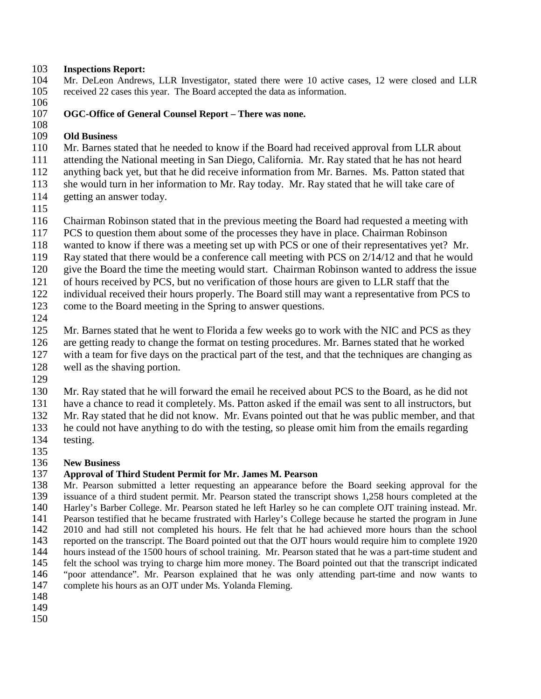## **Inspections Report:**

- Mr. DeLeon Andrews, LLR Investigator, stated there were 10 active cases, 12 were closed and LLR received 22 cases this year. The Board accepted the data as information.
- 

### **OGC-Office of General Counsel Report – There was none.**

### $\frac{108}{109}$ **Old Business**

Mr. Barnes stated that he needed to know if the Board had received approval from LLR about

- attending the National meeting in San Diego, California. Mr. Ray stated that he has not heard
- anything back yet, but that he did receive information from Mr. Barnes. Ms. Patton stated that
- she would turn in her information to Mr. Ray today. Mr. Ray stated that he will take care of getting an answer today.
- 

Chairman Robinson stated that in the previous meeting the Board had requested a meeting with

- PCS to question them about some of the processes they have in place. Chairman Robinson
- wanted to know if there was a meeting set up with PCS or one of their representatives yet? Mr.
- Ray stated that there would be a conference call meeting with PCS on 2/14/12 and that he would
- give the Board the time the meeting would start. Chairman Robinson wanted to address the issue
- of hours received by PCS, but no verification of those hours are given to LLR staff that the
- individual received their hours properly. The Board still may want a representative from PCS to
- come to the Board meeting in the Spring to answer questions.
- 

Mr. Barnes stated that he went to Florida a few weeks go to work with the NIC and PCS as they

- are getting ready to change the format on testing procedures. Mr. Barnes stated that he worked
- with a team for five days on the practical part of the test, and that the techniques are changing as
- well as the shaving portion.
- 

Mr. Ray stated that he will forward the email he received about PCS to the Board, as he did not

have a chance to read it completely. Ms. Patton asked if the email was sent to all instructors, but

- Mr. Ray stated that he did not know. Mr. Evans pointed out that he was public member, and that
- he could not have anything to do with the testing, so please omit him from the emails regarding
- testing.

# 135<br>136

### **New Business Approval of Third Student Permit for Mr. James M. Pearson**

Mr. Pearson submitted a letter requesting an appearance before the Board seeking approval for the issuance of a third student permit. Mr. Pearson stated the transcript shows 1,258 hours completed at the Harley's Barber College. Mr. Pearson stated he left Harley so he can complete OJT training instead. Mr. 141 Pearson testified that he became frustrated with Harley's College because he started the program in June 142 2010 and had still not completed his hours. He felt that he had achieved more hours than the school 142 2010 and had still not completed his hours. He felt that he had achieved more hours than the school<br>143 reported on the transcript. The Board pointed out that the OJT hours would require him to complete 1920 reported on the transcript. The Board pointed out that the OJT hours would require him to complete 1920 144 hours instead of the 1500 hours of school training. Mr. Pearson stated that he was a part-time student and felt the school was trying to charge him more money. The Board pointed out that the transcript indicated felt the school was trying to charge him more money. The Board pointed out that the transcript indicated "poor attendance". Mr. Pearson explained that he was only attending part-time and now wants to complete his hours as an OJT under Ms. Yolanda Fleming.

- 
- 
-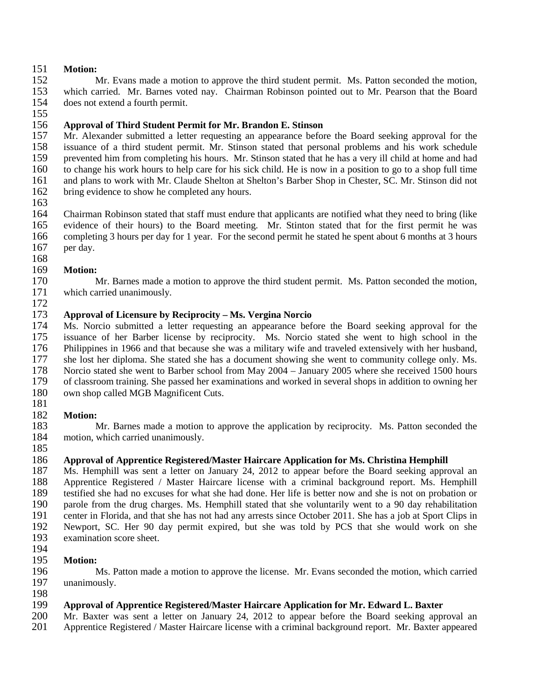## 151 **Motion:**

Mr. Evans made a motion to approve the third student permit. Ms. Patton seconded the motion, 153 which carried. Mr. Barnes voted nay. Chairman Robinson pointed out to Mr. Pearson that the Board does not extend a fourth permit. does not extend a fourth permit. 155

156 **Approval of Third Student Permit for Mr. Brandon E. Stinson** 157 Mr. Alexander submitted a letter requesting an appearance before the Board seeking approval for the 158 issuance of a third student permit. Mr. Stinson stated that personal problems and his work schedule 158 issuance of a third student permit. Mr. Stinson stated that personal problems and his work schedule<br>159 prevented him from completing his hours. Mr. Stinson stated that he has a very ill child at home and had 159 prevented him from completing his hours. Mr. Stinson stated that he has a very ill child at home and had 160 to change his work hours to help care for his sick child. He is now in a position to go to a shop full time 161 and plans to work with Mr. Claude Shelton at Shelton's Barber Shop in Chester, SC. Mr. Stinson did not 162 bring evidence to show he completed any hours.

163<br>164

164 Chairman Robinson stated that staff must endure that applicants are notified what they need to bring (like 165 evidence of their hours) to the Board meeting. Mr. Stinton stated that for the first permit he was evidence of their hours) to the Board meeting. Mr. Stinton stated that for the first permit he was completing 3 hours per day for 1 year. For the second permit he stated he spent about 6 months at 3 hours per day.

168 169 **Motion:**

170 Mr. Barnes made a motion to approve the third student permit. Ms. Patton seconded the motion, 171 which carried unanimously.

 **Approval of Licensure by Reciprocity – Ms. Vergina Norcio** Ms. Norcio submitted a letter requesting an appearance before the Board seeking approval for the issuance of her Barber license by reciprocity. Ms. Norcio stated she went to high school in the Philippines in 1966 and that because she was a military wife and traveled extensively with her husband, she lost her diploma. She stated she has a document showing she went to community college only. Ms. 178 Norcio stated she went to Barber school from May 2004 – January 2005 where she received 1500 hours<br>179 of classroom training. She passed her examinations and worked in several shops in addition to owning her 179 of classroom training. She passed her examinations and worked in several shops in addition to owning her own shop called MGB Magnificent Cuts. own shop called MGB Magnificent Cuts.

181

172

## 182 **Motion:**

183 Mr. Barnes made a motion to approve the application by reciprocity. Ms. Patton seconded the motion, which carried unanimously. motion, which carried unanimously. 185

## 186 **Approval of Apprentice Registered/Master Haircare Application for Ms. Christina Hemphill**

187 Ms. Hemphill was sent a letter on January 24, 2012 to appear before the Board seeking approval an 188 Approval experience Registered / Master Haircare license with a criminal background report. Ms. Hemphill 188 Apprentice Registered / Master Haircare license with a criminal background report. Ms. Hemphill<br>189 testified she had no excuses for what she had done. Her life is better now and she is not on probation or testified she had no excuses for what she had done. Her life is better now and she is not on probation or parole from the drug charges. Ms. Hemphill stated that she voluntarily went to a 90 day rehabilitation center in Florida, and that she has not had any arrests since October 2011. She has a job at Sport Clips in Newport, SC. Her 90 day permit expired, but she was told by PCS that she would work on she examination score sheet.

### 194<br>195 **Motion:**

196 Ms. Patton made a motion to approve the license. Mr. Evans seconded the motion, which carried unanimously. unanimously.

### 198<br>199 199 **Approval of Apprentice Registered/Master Haircare Application for Mr. Edward L. Baxter**

200 Mr. Baxter was sent a letter on January 24, 2012 to appear before the Board seeking approval an <br>201 Apprentice Registered / Master Haircare license with a criminal background report. Mr. Baxter appeared

201 Apprentice Registered / Master Haircare license with a criminal background report. Mr. Baxter appeared